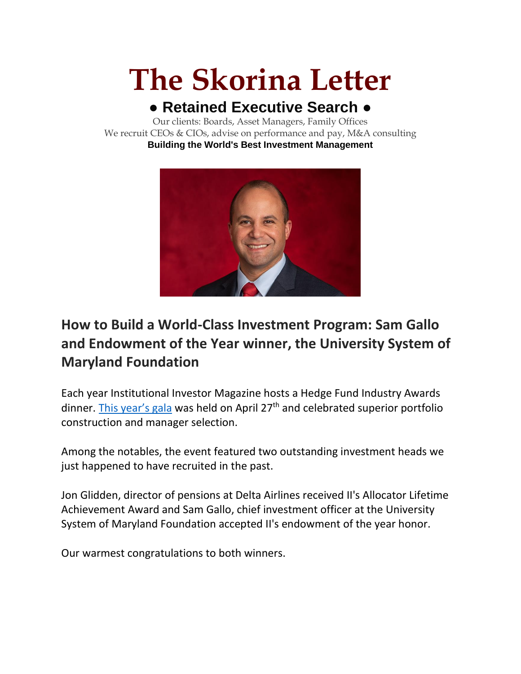# **The Skorina Letter**

## **● Retained Executive Search ●**

Our clients: Boards, Asset Managers, Family Offices We recruit CEOs & CIOs, advise on performance and pay, M&A consulting **Building the World's Best Investment Management**



## **How to Build a World-Class Investment Program: Sam Gallo and Endowment of the Year winner, the University System of Maryland Foundation**

Each year Institutional Investor Magazine hosts a Hedge Fund Industry Awards dinner. [This year's gala](https://www.institutionalinvestor.com/article/b1xsqhrz5s7tjg/These-Are-the-Winners-of-the-2022-Hedge-Fund-Industry-Awards) was held on April  $27<sup>th</sup>$  and celebrated superior portfolio construction and manager selection.

Among the notables, the event featured two outstanding investment heads we just happened to have recruited in the past.

Jon Glidden, director of pensions at Delta Airlines received II's Allocator Lifetime Achievement Award and Sam Gallo, chief investment officer at the University System of Maryland Foundation accepted II's endowment of the year honor.

Our warmest congratulations to both winners.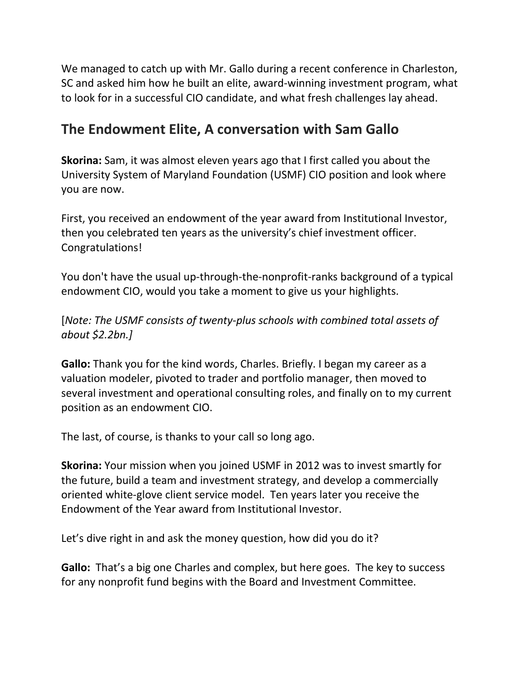We managed to catch up with Mr. Gallo during a recent conference in Charleston, SC and asked him how he built an elite, award-winning investment program, what to look for in a successful CIO candidate, and what fresh challenges lay ahead.

### **The Endowment Elite, A conversation with Sam Gallo**

**Skorina:** Sam, it was almost eleven years ago that I first called you about the University System of Maryland Foundation (USMF) CIO position and look where you are now.

First, you received an endowment of the year award from Institutional Investor, then you celebrated ten years as the university's chief investment officer. Congratulations!

You don't have the usual up-through-the-nonprofit-ranks background of a typical endowment CIO, would you take a moment to give us your highlights.

[*Note: The USMF consists of twenty-plus schools with combined total assets of about \$2.2bn.]*

**Gallo:** Thank you for the kind words, Charles. Briefly. I began my career as a valuation modeler, pivoted to trader and portfolio manager, then moved to several investment and operational consulting roles, and finally on to my current position as an endowment CIO.

The last, of course, is thanks to your call so long ago.

**Skorina:** Your mission when you joined USMF in 2012 was to invest smartly for the future, build a team and investment strategy, and develop a commercially oriented white-glove client service model. Ten years later you receive the Endowment of the Year award from Institutional Investor.

Let's dive right in and ask the money question, how did you do it?

**Gallo:** That's a big one Charles and complex, but here goes. The key to success for any nonprofit fund begins with the Board and Investment Committee.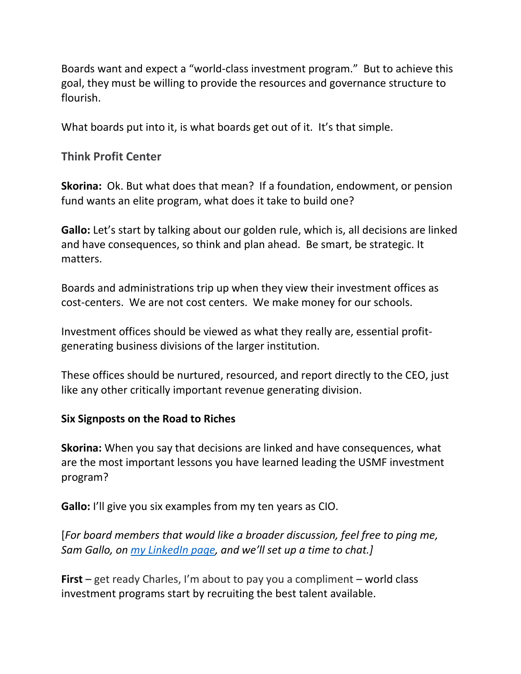Boards want and expect a "world-class investment program." But to achieve this goal, they must be willing to provide the resources and governance structure to flourish.

What boards put into it, is what boards get out of it. It's that simple.

**Think Profit Center**

**Skorina:** Ok. But what does that mean? If a foundation, endowment, or pension fund wants an elite program, what does it take to build one?

**Gallo:** Let's start by talking about our golden rule, which is, all decisions are linked and have consequences, so think and plan ahead. Be smart, be strategic. It matters.

Boards and administrations trip up when they view their investment offices as cost-centers. We are not cost centers. We make money for our schools.

Investment offices should be viewed as what they really are, essential profitgenerating business divisions of the larger institution.

These offices should be nurtured, resourced, and report directly to the CEO, just like any other critically important revenue generating division.

#### **Six Signposts on the Road to Riches**

**Skorina:** When you say that decisions are linked and have consequences, what are the most important lessons you have learned leading the USMF investment program?

**Gallo:** I'll give you six examples from my ten years as CIO.

[*For board members that would like a broader discussion, feel free to ping me, Sam Gallo, on [my LinkedIn page](https://www.linkedin.com/in/samuelgallo/), and we'll set up a time to chat.]*

**First** – get ready Charles, I'm about to pay you a compliment – world class investment programs start by recruiting the best talent available.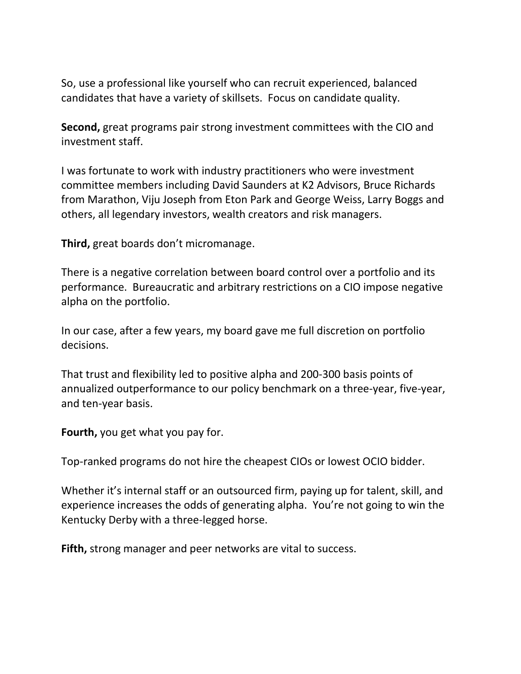So, use a professional like yourself who can recruit experienced, balanced candidates that have a variety of skillsets. Focus on candidate quality.

**Second,** great programs pair strong investment committees with the CIO and investment staff.

I was fortunate to work with industry practitioners who were investment committee members including David Saunders at K2 Advisors, Bruce Richards from Marathon, Viju Joseph from Eton Park and George Weiss, Larry Boggs and others, all legendary investors, wealth creators and risk managers.

**Third,** great boards don't micromanage.

There is a negative correlation between board control over a portfolio and its performance. Bureaucratic and arbitrary restrictions on a CIO impose negative alpha on the portfolio.

In our case, after a few years, my board gave me full discretion on portfolio decisions.

That trust and flexibility led to positive alpha and 200-300 basis points of annualized outperformance to our policy benchmark on a three-year, five-year, and ten-year basis.

**Fourth,** you get what you pay for.

Top-ranked programs do not hire the cheapest CIOs or lowest OCIO bidder.

Whether it's internal staff or an outsourced firm, paying up for talent, skill, and experience increases the odds of generating alpha. You're not going to win the Kentucky Derby with a three-legged horse.

**Fifth,** strong manager and peer networks are vital to success.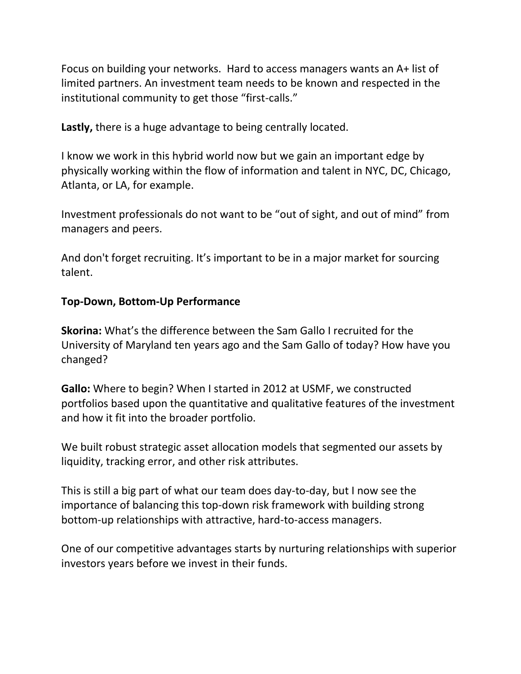Focus on building your networks. Hard to access managers wants an A+ list of limited partners. An investment team needs to be known and respected in the institutional community to get those "first-calls."

**Lastly,** there is a huge advantage to being centrally located.

I know we work in this hybrid world now but we gain an important edge by physically working within the flow of information and talent in NYC, DC, Chicago, Atlanta, or LA, for example.

Investment professionals do not want to be "out of sight, and out of mind" from managers and peers.

And don't forget recruiting. It's important to be in a major market for sourcing talent.

#### **Top-Down, Bottom-Up Performance**

**Skorina:** What's the difference between the Sam Gallo I recruited for the University of Maryland ten years ago and the Sam Gallo of today? How have you changed?

**Gallo:** Where to begin? When I started in 2012 at USMF, we constructed portfolios based upon the quantitative and qualitative features of the investment and how it fit into the broader portfolio.

We built robust strategic asset allocation models that segmented our assets by liquidity, tracking error, and other risk attributes.

This is still a big part of what our team does day-to-day, but I now see the importance of balancing this top-down risk framework with building strong bottom-up relationships with attractive, hard-to-access managers.

One of our competitive advantages starts by nurturing relationships with superior investors years before we invest in their funds.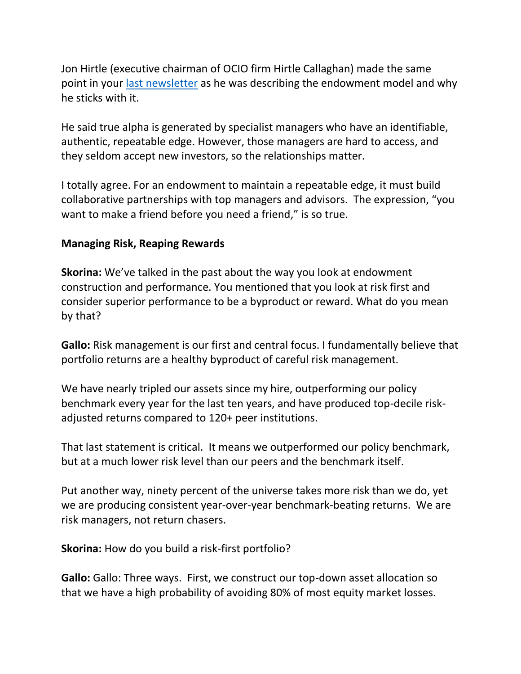Jon Hirtle (executive chairman of OCIO firm Hirtle Callaghan) made the same point in your [last newsletter](https://charlesskorina.com/ocio-spring-2022-last-man-standing/) as he was describing the endowment model and why he sticks with it.

He said true alpha is generated by specialist managers who have an identifiable, authentic, repeatable edge. However, those managers are hard to access, and they seldom accept new investors, so the relationships matter.

I totally agree. For an endowment to maintain a repeatable edge, it must build collaborative partnerships with top managers and advisors. The expression, "you want to make a friend before you need a friend," is so true.

#### **Managing Risk, Reaping Rewards**

**Skorina:** We've talked in the past about the way you look at endowment construction and performance. You mentioned that you look at risk first and consider superior performance to be a byproduct or reward. What do you mean by that?

**Gallo:** Risk management is our first and central focus. I fundamentally believe that portfolio returns are a healthy byproduct of careful risk management.

We have nearly tripled our assets since my hire, outperforming our policy benchmark every year for the last ten years, and have produced top-decile riskadjusted returns compared to 120+ peer institutions.

That last statement is critical. It means we outperformed our policy benchmark, but at a much lower risk level than our peers and the benchmark itself.

Put another way, ninety percent of the universe takes more risk than we do, yet we are producing consistent year-over-year benchmark-beating returns. We are risk managers, not return chasers.

**Skorina:** How do you build a risk-first portfolio?

**Gallo:** Gallo: Three ways. First, we construct our top-down asset allocation so that we have a high probability of avoiding 80% of most equity market losses.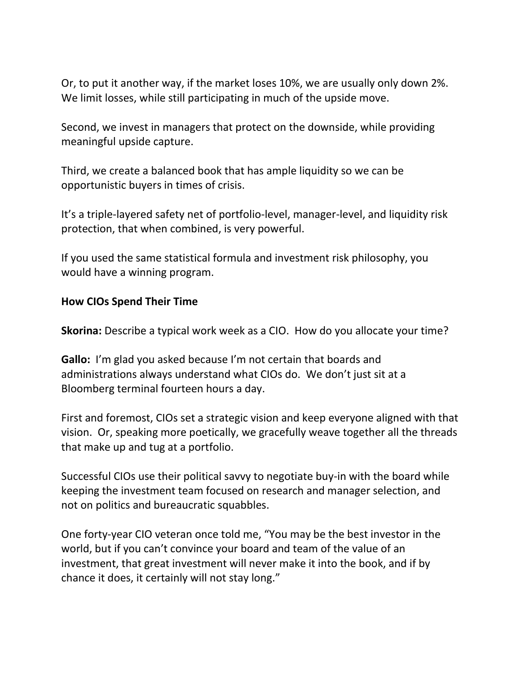Or, to put it another way, if the market loses 10%, we are usually only down 2%. We limit losses, while still participating in much of the upside move.

Second, we invest in managers that protect on the downside, while providing meaningful upside capture.

Third, we create a balanced book that has ample liquidity so we can be opportunistic buyers in times of crisis.

It's a triple-layered safety net of portfolio-level, manager-level, and liquidity risk protection, that when combined, is very powerful.

If you used the same statistical formula and investment risk philosophy, you would have a winning program.

#### **How CIOs Spend Their Time**

**Skorina:** Describe a typical work week as a CIO. How do you allocate your time?

**Gallo:** I'm glad you asked because I'm not certain that boards and administrations always understand what CIOs do. We don't just sit at a Bloomberg terminal fourteen hours a day.

First and foremost, CIOs set a strategic vision and keep everyone aligned with that vision. Or, speaking more poetically, we gracefully weave together all the threads that make up and tug at a portfolio.

Successful CIOs use their political savvy to negotiate buy-in with the board while keeping the investment team focused on research and manager selection, and not on politics and bureaucratic squabbles.

One forty-year CIO veteran once told me, "You may be the best investor in the world, but if you can't convince your board and team of the value of an investment, that great investment will never make it into the book, and if by chance it does, it certainly will not stay long."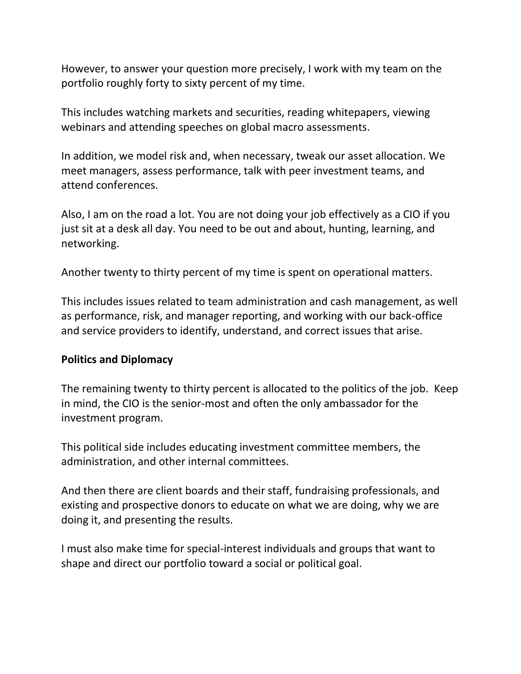However, to answer your question more precisely, I work with my team on the portfolio roughly forty to sixty percent of my time.

This includes watching markets and securities, reading whitepapers, viewing webinars and attending speeches on global macro assessments.

In addition, we model risk and, when necessary, tweak our asset allocation. We meet managers, assess performance, talk with peer investment teams, and attend conferences.

Also, I am on the road a lot. You are not doing your job effectively as a CIO if you just sit at a desk all day. You need to be out and about, hunting, learning, and networking.

Another twenty to thirty percent of my time is spent on operational matters.

This includes issues related to team administration and cash management, as well as performance, risk, and manager reporting, and working with our back-office and service providers to identify, understand, and correct issues that arise.

#### **Politics and Diplomacy**

The remaining twenty to thirty percent is allocated to the politics of the job. Keep in mind, the CIO is the senior-most and often the only ambassador for the investment program.

This political side includes educating investment committee members, the administration, and other internal committees.

And then there are client boards and their staff, fundraising professionals, and existing and prospective donors to educate on what we are doing, why we are doing it, and presenting the results.

I must also make time for special-interest individuals and groups that want to shape and direct our portfolio toward a social or political goal.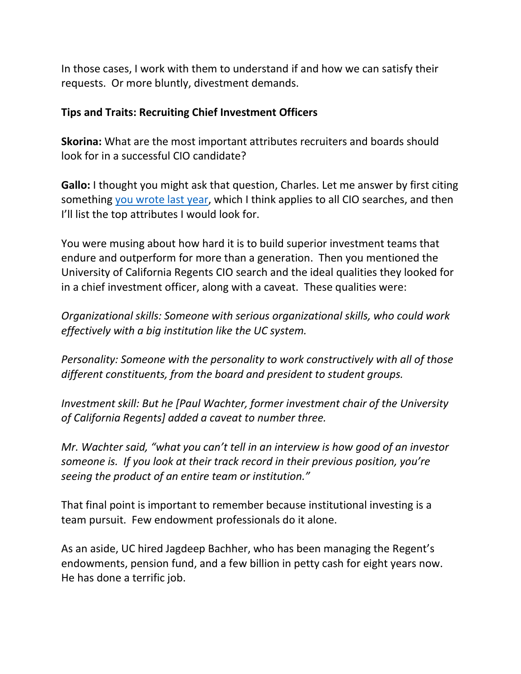In those cases, I work with them to understand if and how we can satisfy their requests. Or more bluntly, divestment demands.

#### **Tips and Traits: Recruiting Chief Investment Officers**

**Skorina:** What are the most important attributes recruiters and boards should look for in a successful CIO candidate?

**Gallo:** I thought you might ask that question, Charles. Let me answer by first citing something [you wrote last year,](https://charlesskorina.com/searching-for-the-next-swensen/) which I think applies to all CIO searches, and then I'll list the top attributes I would look for.

You were musing about how hard it is to build superior investment teams that endure and outperform for more than a generation. Then you mentioned the University of California Regents CIO search and the ideal qualities they looked for in a chief investment officer, along with a caveat. These qualities were:

*Organizational skills: Someone with serious organizational skills, who could work effectively with a big institution like the UC system.*

*Personality: Someone with the personality to work constructively with all of those different constituents, from the board and president to student groups.*

*Investment skill: But he [Paul Wachter, former investment chair of the University of California Regents] added a caveat to number three.*

*Mr. Wachter said, "what you can't tell in an interview is how good of an investor someone is. If you look at their track record in their previous position, you're seeing the product of an entire team or institution."*

That final point is important to remember because institutional investing is a team pursuit. Few endowment professionals do it alone.

As an aside, UC hired Jagdeep Bachher, who has been managing the Regent's endowments, pension fund, and a few billion in petty cash for eight years now. He has done a terrific job.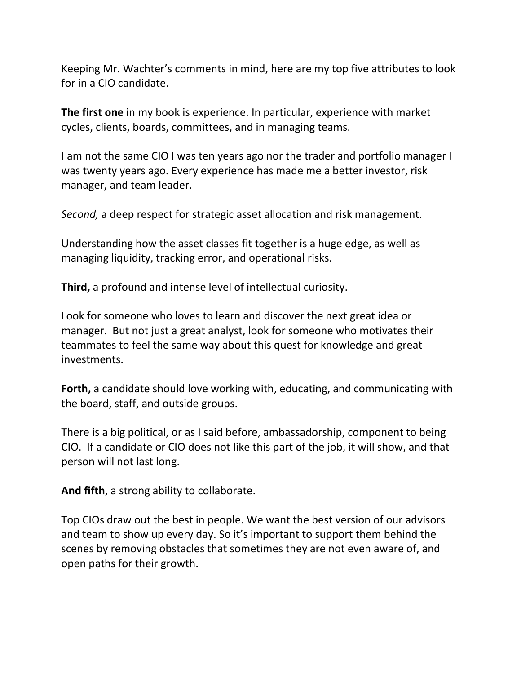Keeping Mr. Wachter's comments in mind, here are my top five attributes to look for in a CIO candidate.

**The first one** in my book is experience. In particular, experience with market cycles, clients, boards, committees, and in managing teams.

I am not the same CIO I was ten years ago nor the trader and portfolio manager I was twenty years ago. Every experience has made me a better investor, risk manager, and team leader.

*Second,* a deep respect for strategic asset allocation and risk management.

Understanding how the asset classes fit together is a huge edge, as well as managing liquidity, tracking error, and operational risks.

**Third,** a profound and intense level of intellectual curiosity.

Look for someone who loves to learn and discover the next great idea or manager. But not just a great analyst, look for someone who motivates their teammates to feel the same way about this quest for knowledge and great investments.

**Forth,** a candidate should love working with, educating, and communicating with the board, staff, and outside groups.

There is a big political, or as I said before, ambassadorship, component to being CIO. If a candidate or CIO does not like this part of the job, it will show, and that person will not last long.

**And fifth**, a strong ability to collaborate.

Top CIOs draw out the best in people. We want the best version of our advisors and team to show up every day. So it's important to support them behind the scenes by removing obstacles that sometimes they are not even aware of, and open paths for their growth.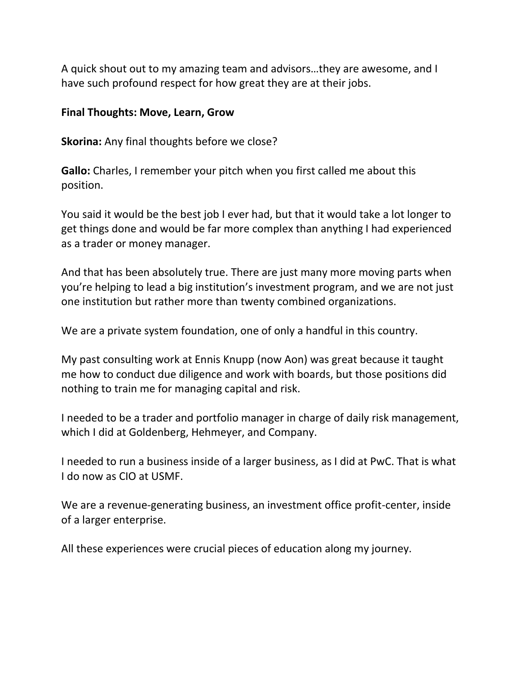A quick shout out to my amazing team and advisors…they are awesome, and I have such profound respect for how great they are at their jobs.

#### **Final Thoughts: Move, Learn, Grow**

**Skorina:** Any final thoughts before we close?

**Gallo:** Charles, I remember your pitch when you first called me about this position.

You said it would be the best job I ever had, but that it would take a lot longer to get things done and would be far more complex than anything I had experienced as a trader or money manager.

And that has been absolutely true. There are just many more moving parts when you're helping to lead a big institution's investment program, and we are not just one institution but rather more than twenty combined organizations.

We are a private system foundation, one of only a handful in this country.

My past consulting work at Ennis Knupp (now Aon) was great because it taught me how to conduct due diligence and work with boards, but those positions did nothing to train me for managing capital and risk.

I needed to be a trader and portfolio manager in charge of daily risk management, which I did at Goldenberg, Hehmeyer, and Company.

I needed to run a business inside of a larger business, as I did at PwC. That is what I do now as CIO at USMF.

We are a revenue-generating business, an investment office profit-center, inside of a larger enterprise.

All these experiences were crucial pieces of education along my journey.